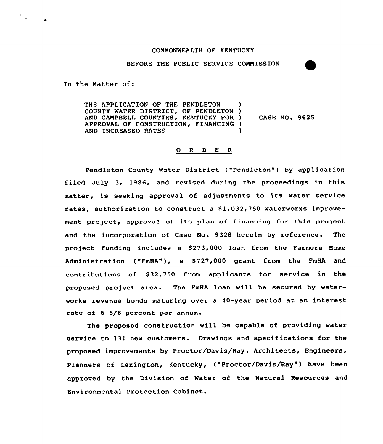# CONNONWEALTH OF KENTUCKY

BEFORE THE PUBLIC SERVICE COMMISSION

In the Natter of:

THE APPLICATION OF THE PENDLETON COUNTY WATER DISTRICT, OF PENDLETON ) AND CAMPBELL COUNTIES, KENTUCKY FOR ) APPROVAL OF CONSTRUCTION, FINANCING ) AND INCREASED RATES CASE NO. 9625

### 0 R <sup>D</sup> E <sup>R</sup>

Pendleton County Water District ("Pendleton") by application filed July 3, 1986, and revised during the proceedings in this matter, is seeking approval of adjustments to its water service rates, authorization to construct a \$1,032,750 waterworks improvement project, approval of its plan of financing for this project and the incorporation of Case No. 9328 herein by reference. The project funding includes a \$273,000 loan from the Farmers Home Administration ("FmHA"), a \$727,000 grant from the FmHA and contributions of \$32,750 from applicants for service in the proposed project area. The FmHA loan will be secured by watervorks revenue bonds maturing over a 40-year period at an interest rate of 6 5/8 percent per annum.

The proposed construction will be capable of providing water service to 131 new customers. Drawings and specifications for the proposed improvements by Proctor/Davis/Ray, Architects, Engineers, Planners of Lexington, Kentucky, ("Proctor/Davis/Ray") have been approved by the Division of Water of the Natural Resources and Environmental Protection Cabinet.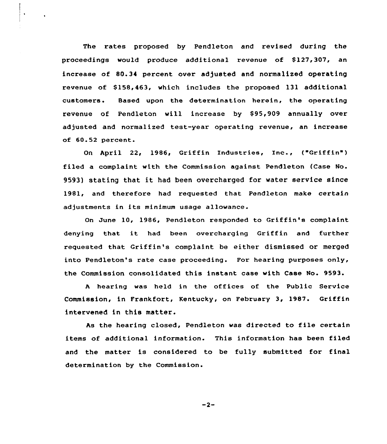The rates proposed by Pendleton and revised during the proceedings would produce additional revenue of 8127,307, an increase of 80.34 percent over adjusted and normalized operating revenue of \$158,463, which includes the proposed 131 additional customers. Based upon the determination herein, the operating revenue of Pendleton will increase by \$95,909 annually over adjusted and normalized test-year operating revenue, an increase of 60.52 percent.

On April 22, 1986, Griffin Industries, Inc., ("Griffin") filed a complaint with the Commission against Pendleton (Case No. 9593) stating that it had been overcharged for water service since 1981, and therefore had requested that Pendleton make certain adjustments in its minimum usage allowance.

On June 10, 1986, Pendleton responded to Griffin's complaint denying that it had been overcharging Griffin and further requested that Griffin's complaint be either dismissed or merged into Pendleton's rate case proceeding. For hearing purposes only, the Commission consolidated this instant case with Case No. 9593.

<sup>A</sup> hearing was held in the offices of the Public Service Commission, in Frankfort, Kentucky, on February 3, 1987. Griffin intervened in this matter.

As the hearing closed, Pendleton was directed to file certain items of additional information. This information has been filed and the matter is considered to be fully submitted for final determination by the Commission.

 $-2-$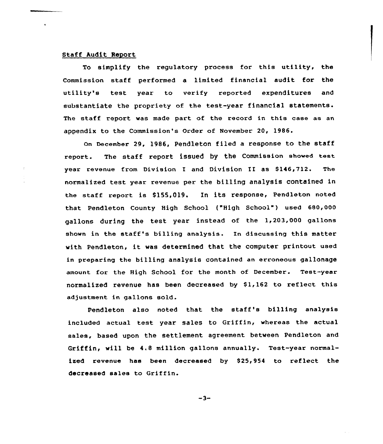# Staff Audit Report

To simplify the regulatory process for this utility< the Commission staff performed a limited financial audit for the utility's test year to verify reported expenditures and substantiate the propriety of the test-year financial statements. The staff report was made part of the record in this case as an appendix to the Commission's Order of November 20, 1986.

on December 29, 1986, Pendleton filed a response to the staff report. The staff report issued by the Commission showed test year revenue from Division I and Division II as \$146,712. The normalized test year revenue per the billing analysis contained in the staff report is \$155,019. In its response, Pendleton noted that Pendleton County High School ("High School") used 680,000 gallons during the test year instead of the 1,203,000 gallons shown in the staff's billing analysis. In discussing this matter with Pendleton, it was determined that the computer printout used in preparing the billing analysis contained an erroneous gallonage amount for the High School for the month of December. Test-year normalized revenue has been decreased by \$1,162 to reflect this adjustment in gallons sold.

Pendleton also noted that the staff's billing analysis included actual test year sales to Griffin, whereas the actual sales, based upon the settlement agreement between Pendleton and Griffin, will be 4.8 million gallons annually. Test-year normalized revenue has been decreased by \$25,954 to reflect the decreased sales to Griffin.

 $-3-$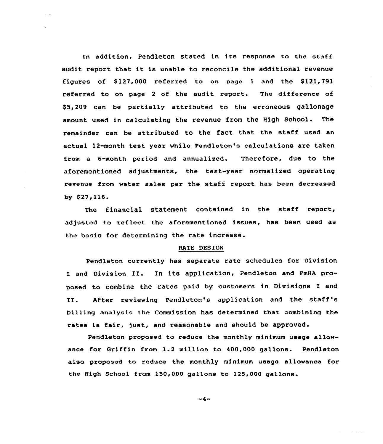In addition, Pendleton stated in its response to the staff audit report that it is unable to reconcile the additional revenue figures of  $$127,000$  referred to on page 1 and the  $$121,791$ referred to on page 2 of the audit report. The difference of \$ 5,209 can be partially attributed to the erroneous gallonage amount used in calculating the revenue from the High School. The remainder can be attributed to the fact that the staff used an actual 12-month test year while Pendleton's calculations are taken from a 6-month period and annualized. Therefore, due to the aforementioned adjustments, the test-year normalized operating revenue from water sales per the staff report has been decreased by \$27,116.

The financial statement contained in the staff report, adjusted to reflect the aforementioned issues, has been used as the basis for determining the rate increase.

#### RATE DESIGN

Pendleton currently has separate rate schedules for Division I and Division II. In its application, Pendleton and FmHA proposed to combine the rates paid by customers in Divisions I and II. After reviewing Pendleton's application and the staff's billing analysis the Commission has determined that combining the rates is fair, just, and reasonable and should be approved.

Pendleton proposed to reduce the monthly minimum usage allowance for Griffin from 1.2 million to 400,000 gallons. Pendleton also proposed to reduce the monthly minimum usage allowance for the High School from 150,000 gallons to 125,000 gallons.

 $-4-$ 

ساستان المار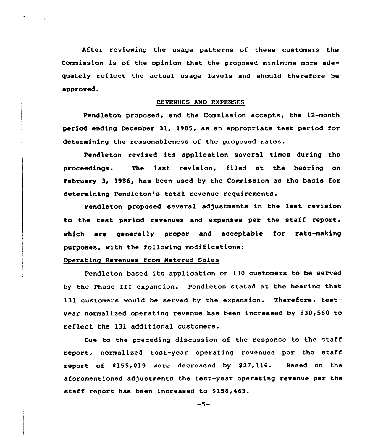After reviewing the usage patterns of these customers the Commission is of the opinion that the proposed minimums more adequately reflect the actual usage levels and should therefore be approved.

#### REVENUES AND EXPENSES

Pendleton proposed, and the Commission accepts, the 12-month period ending December 31, 1985, as an appropriate test period for determining the reasonableness of the proposed rates.

Pendleton revised its application several times during the proceedings. The last revision, filed at the hearing on february 3, 1986, has been used by the Commission as the basis for determining Pendleton's total revenue requirements.

Pendleton proposed several adjustments in the last revision to the test period revenues and expenses per the staff report, which are generally proper and acceptable for rate-making purposes, with the following modifications:

# Operating Revenues from Metered Sales

Pendleton based its application on 130 customers to be served by the Phase III expansion. Pendleton stated at the hearing that 131 customers would be served by the expansion. Therefore, testyear normalized operating revenue has been increased by \$30,560 to reflect the 131 additional customers.

Due to the preceding discussion of the response to the staff report, normalized test-year operating revenues per the staff report of \$155,019 were decreased by \$27,116. Based on the aforementioned adjustments the test-year operating revenue per the staff report has been increased to \$158,463.

$$
-5-
$$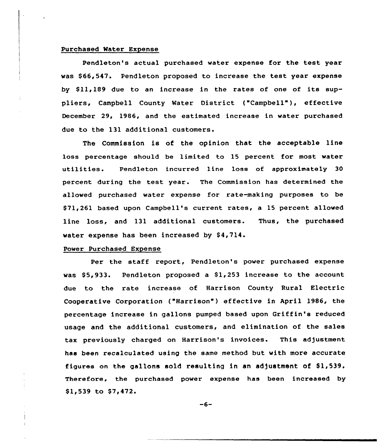## Purchased Mater Expense

Pendleton's actual purchased water expense for the test year was \$66,547. Pendleton proposed to increase the test year expense by \$11,189 due to an increase in the rates of one of its suppliers, Campbell County Mater District ("Campbell" ), effective December 29, 1986, and the estimated increase in water purchased due to the 131 additional customers.

The Commission is of the opinion that the acceptable line loss percentage should be limited to 15 percent for most water utilities. Pendleton incurred line loss of approximately 30 percent during the test year. The Commission has determined the allowed purchased water expense for rate-making purposes to be \$ 71,261 based upon Campbell's current rates, a 15 percent allowed line loss, and 131 additional customers. Thus, the purchased water expense has been increased by \$4,714.

# Power Purchased Expense

Per the staff report, Pendleton's power purchased expense was  $$5,933.$  Pendleton proposed a  $$1,253$  increase to the account due to the rate increase of Harrison County Rural Electric Cooperative Corporation ("Harrison") effective in April 1986, the percentage increase in gallons pumped based upon Griffin's reduced usage and the additional customers, and elimination of the sales tax previously charged on Harrison's invoices. This adjustment has been recalculated using the same method but with more accurate figures on the gallons sold resulting in an adjustment of  $$1,539$ . Therefore, the purchased power expense has been increased by \$1,539 to \$7,472.

-6-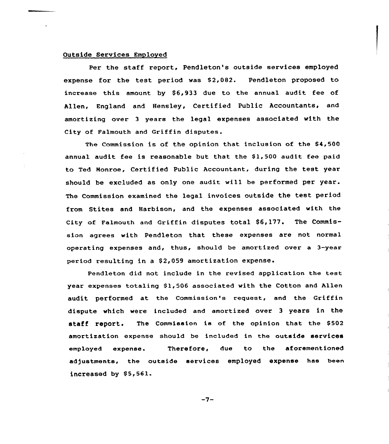### Outside Services Employed

Per the staff report, Pendleton's outside services employed expense for the test period was  $$2,082.$  Pendleton proposed to increase this amount by  $$6,933$  due to the annual audit fee of Allen, England and Hensley, Certified Public Accountants, and amortizing over 3 years the legal expenses associated with the City of Falmouth and Griffin disputes.

The Commission is of the opinion that inclusion of the \$4,500 annual audit fee is reasonable but that the  $$1,500$  audit fee paid to Ted Monroe, Certified Public Accountant, during the test year should be excluded as only one audit will be performed per year. The Commission examined the legal invoices outside the test period from Stites and Harbison, and the expenses associated with the City of Falmouth and Griffin disputes total  $$6,177$ . The Commission agrees with Pendleton that these expenses are not normal operating expenses and, thus, should be amortized over a 3-year period resulting in a \$ 2,059 amortization expense.

Pendleton did not include in the revised application the test year expenses totaling \$1,506 associated with the Cotton and Allen audit performed at the Commission's request, and the Griffin dispute which were included and amortized over 3 years in the staff report. The Commission is of the opinion that the \$502 amortization expense should be included in the outside services employed expense. Therefore, due to the aforementioned adjustments, the outside services employed expense has been increased by  $$5,561.$ 

 $-7-$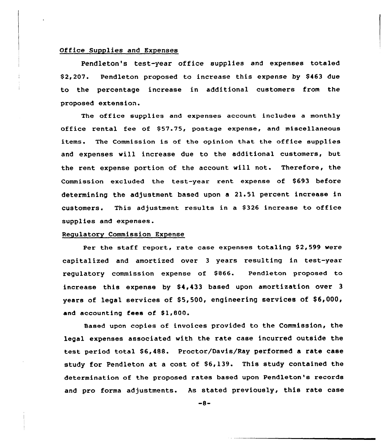## Office Supplies and Expenses

Pendleton's test-year office supplies and expenses totaled \$2,207. Pendleton proposed to increase this expense by \$463 due to the percentage increase in additional customers from the proposed extension.

The office supplies and expenses account includee a monthly office rental fee of \$57.75, postage expense, and miscellaneous items. The Commission is of the opinion that the office supplies and expenses vill increase due to the additional customers, but the rent expense portion of the account will not. Therefore, the Commission excluded the test-year rent expense of \$693 before determining the adjustment based upon a 21.51 percent increase in customers. This adjustment results in a \$326 increase to office supplies and expenses.

#### Regulatory Commission Expense

Per the staff report, rate case expenses totaling \$2,599 were capitalized and amortized over <sup>3</sup> years resulting in test-year regulatory commission expense of \$866. Pendleton proposed to increase this expense by \$4,433 based upon amortization over 3 years of legal services of  $$5,500$ , engineering services of  $$6,000$ , and accounting fees of \$1,800.

Based upon copies of invoices provided to the Commission, the legal expenses associated with the rate case incurred outside the test period total \$6,488. Proctor/Davis/Ray performed a rate case study for Pendleton at a cost of \$6,139. This study contained the determination of the proposed rates based upon Pendleton's records and pro forma adjustments. As stated previously, this rate case

 $-8-$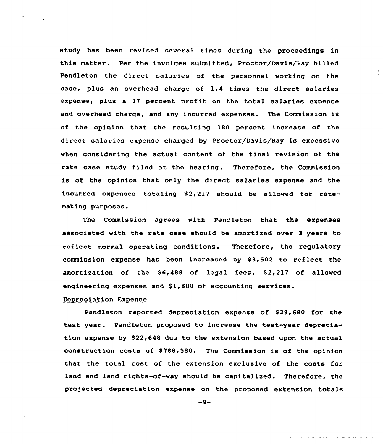study has been revised several times during the proceedings in this matter. Per the invoices submitted, Proctor/Davis/Ray billed Pendleton the direct salaries of the personnel working on the case, plus an overhead charge of 1.4 times the direct salaries expense, plus a 17 percent profit on the total salaries expense and overhead charge, and any incurred expenses. The Commission is of the opinion that the resulting 180 percent increase of the direct salaries expense charged by Proctor/Davis/Ray is excessive when considering the actual content of the final revision of the rate case study filed at the hearing. Therefore, the Commission is of the opinion that only the direct salaries expense and the incurred expenses totaling  $$2,217$  should be allowed for ratemaking purposes.

The Commission agrees with Pendleton that the expenses associated with the rate case should be amortized over 3 years to reflect normal operating conditions. Therefore, the regulatory commission expense has been increased by  $$3,502$  to reflect the amortization of the \$6,488 of legal fees, \$2,217 of allowed engineering expenses and  $$1,800$  of accounting services.

# Depreciation Expense

Pendleton reported depreciation expense of \$29,680 for the test year. Pendleton proposed to increase the test-year depreciation expense by \$22,648 due to the extension based upon the actual construction costs of \$788,580. The Commission is of the opinion that the total cost of the extension exclusive of the costs for land and land rights-of-way should be capitalized. Therefore, the projected depreciation expense on the proposed extension totals

 $-9-$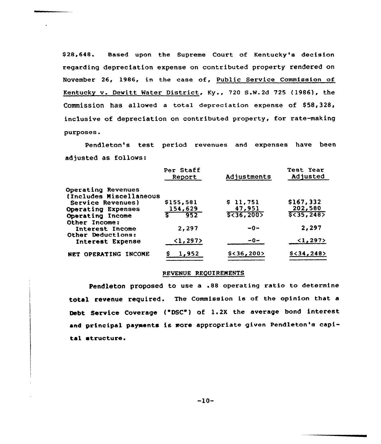\$ 28,648. Based upon the Supreme Court of Kentucky's decision regarding depreciation expense on contributed property rendered on November 26, 1986, in the case of, Public Service Commission of Kentucky v. Dewitt Water District, Ky., 720 S.N.2d 725 (1986), the Commission has allowed a total depreciation expense of  $$58,328$ , inclusive of depreciation on contributed property, for rate-making purposes.

Pendleton's test period revenues and expenses have been adjusted as follows:

|                         | Per Staff<br>Report | Adjustments  | Test Year<br>Adjusted    |
|-------------------------|---------------------|--------------|--------------------------|
| Operating Revenues      |                     |              |                          |
| (Includes Miscellaneous |                     |              |                          |
| Service Revenues)       | \$155,581           | \$11,751     | \$167,332                |
| Operating Expenses      | 154,629             | 47,951       | 202,580                  |
| Operating Income        | 952                 | 5<36,200     | 5<35,248                 |
| Other Income:           |                     |              |                          |
| Interest Income         | 2,297               | $-0-$        | 2,297                    |
| Other Deductions:       |                     |              |                          |
| Interest Expense        | $\langle$ 1,297>    | $-0-$        | $\langle 1, 297 \rangle$ |
| NET OPERATING INCOME    | 1,952               | $$<$ 36,200> | $$<$ 34,248>             |
|                         |                     |              |                          |

## FFVENUE REQUIREMENTS

Pendleton proposed to use a .88 operating ratio to determine total revenue required. The Commission is of the opinion that a Debt Service Coverage ("DSC") of 1.2X the average bond interest and principal payments is more appropriate given Pendleton's capital structure.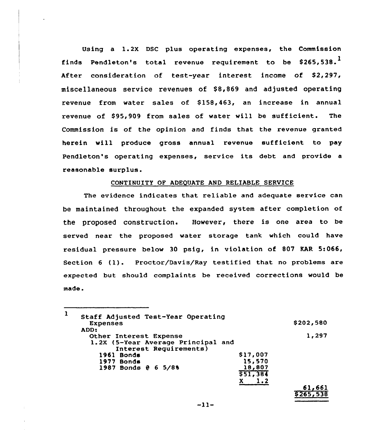Using a 1.2X DSC plus operating expenses, the Commission finds Pendleton's total revenue requirement to be \$265,538.<sup>1</sup> After consideration of test-year interest income of \$2,297, miscellaneous service revenues of \$8,869 and adjusted operating revenue from water sales of \$158,463, an increase in annual revenue of \$95,909 from sales of water will be sufficient. The Commission is of the opinion and finds that the revenue granted herein will produce gross annual revenue sufficient to pay Pendleton's operating expenses, service its debt and provide <sup>a</sup> reasonable surplus.

# CONTINUITY OF ADEQUATE AND RELIABLE SERUICE

The evidence indicates that reliable and adequate service can be maintained throughout the expanded system after completion of the proposed construction. However, there is one area to be served near the proposed water storage tank which could have residual pressure below 30 psig, in violation of 807 KAR 5:066, Section <sup>6</sup> (1). Proctor/Davis/Ray testified that no problems are expected but should complaints be received corrections would be made.

| 1    | Staff Adjusted Test-Year Operating<br><b>Expenses</b> |          | \$202,580 |
|------|-------------------------------------------------------|----------|-----------|
| ADD: |                                                       |          |           |
|      | Other Interest Expense                                |          | 1,297     |
|      | 1.2X (5-Year Average Principal and                    |          |           |
|      | Interest Requirements)                                |          |           |
|      | 1961 Bonds                                            | \$17,007 |           |
|      | 1977 Bonds                                            | 15,570   |           |
|      | 1987 Bonds @ 6 5/8%                                   | 18,807   |           |
|      |                                                       | \$51,384 |           |
|      |                                                       | 1.2      |           |
|      |                                                       |          |           |

<u>\$265,538</u>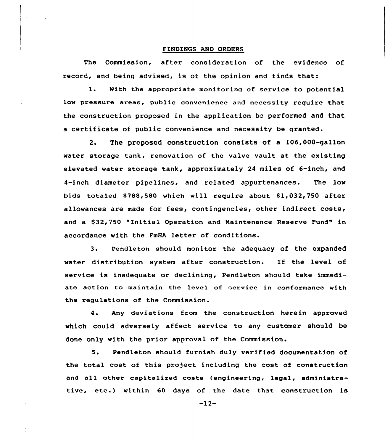#### FINDINGS AND ORDERS

The Commission, after consideration of the evidence of record, and being advised, is of the opinion and finds that:

1. With the appropriate monitoring of service to potential low pressure areas, public convenience and necessity require that the construction proposed in the application be performed and that a certificate of public convenience and necessity be granted.

2. The proposed construction consists of a 106,000-gallon water storage tank, renovation of the valve vault at the existing elevated water storage tank, approximately 24 miles of 6-inch, and 4-inch diameter pipelines, and related appurtenances. The low bids totaled \$788,580 which will require about \$1,032,750 after allowances are made for fees, contingencies, other indirect costs, and a S32,750 "Initial Operation and Naintenance Reserve Fund" in accordance with the FmHA letter of conditions.

3. Pendleton should monitor the adequacy of the expanded water distribution system after construction. If the level of service is inadequate or declining, Pendleton should take immediate action to maintain the level of service in conformance with the regulations of the Commission.

4. Any deviations from the construction herein approved which could adversely affect service to any customer should be done only with the prior approval of the Commission.

5. Pendleton should furnish duly verified documentation of the total cost of this project including the cost of construction and all other capitalized costs {engineering, legal, administrative, etc.) within <sup>60</sup> days of the date that construction is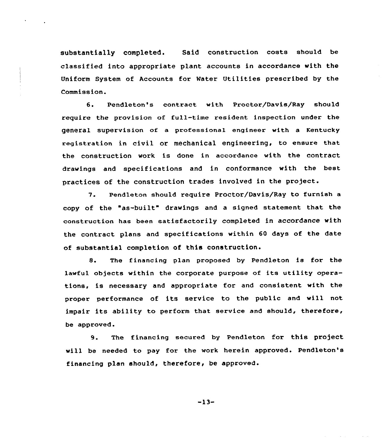substantially completed. Said construction costs should be classified into appropriate plant accounts in accordance with the Uniform System of Accounts for Water Utilities prescribed by the Commission.

6. Pendleton's contract with Proctor/Davis/Ray should require the provision of full-time resident inspection under the general supervision of a professional engineer with a Kentucky registration in civil or mechanical engineering, to ensure that the construction work is done in accordance with the contract drawings and specifications and in conformance with the best practices of the construction trades involved in the project.

7. Pendleton should require Proctor/Davis/Ray to furnish a copy of the "as-built" drawings and <sup>a</sup> signed statement that the construction has been satisfactorily completed in accordance with the contract plans and specifications within 60 days of the date of substantial completion of this construction.

8. The financing plan proposed by Pendleton is for the lawful objects within the corporate purpose of its utility operations, is necessary and appropriate for and consistent with the proper performance of its service to the public and will not impair its ability to perform that service and should, therefore, be approved.

9. The financing secured by Pendleton for this project will be needed to pay for the work herein approved. Pendleton's financing plan should, therefore, be approved.

-13-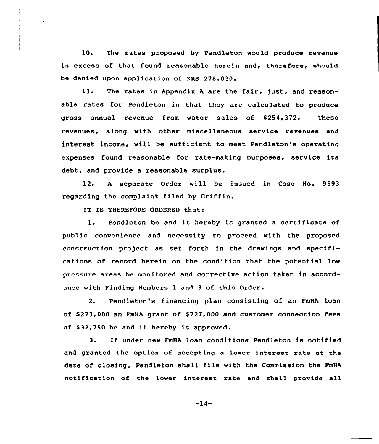10. The rates proposed by Pendleton would produce revenue in excess of that found reasonable herein and, therefore, should be denied upon application of KRS 27B.030.

ll. The rates in Appendix <sup>A</sup> are the fair, just, and reasonable rates for Pendleton in that they are calculated to produce gross annual revenue from water sales of \$254,372. These revenues, along with other miscellaneous service revenues and interest income, will be sufficient to meet Pendleton's operating expenses found reasonable for rate-making purposes, service its debt, and provide a reasonable surplus.

12. <sup>A</sup> separate Order will be issued in Case No. 9593 regarding the complaint filed by Griffin.

IT IS THEREFORE ORDERED that:

1. Pendleton be and it hereby is granted <sup>a</sup> certificate of public convenience and necessity to proceed with the proposed construction project as set forth in the drawings and specifications of record herein on the condition that the potential low pressure areas be monitored and corrective action taken in accordance with Finding Numbers 1 and <sup>3</sup> of this Order.

2. Pendleton's financing plan consisting of an FmHA loan of \$273,000 an FmHA grant of \$ 727,000 and customer connection fees of \$ 32,750 be and it hereby is approved.

3. Zf under new FmHA loan conditions Pendleton is not ified and granted the option of accepting a lower interest rate at the date of closing, Pendleton shall file with the Commission the FmHA notification of the lower interest rate and shall provide all

 $-14-$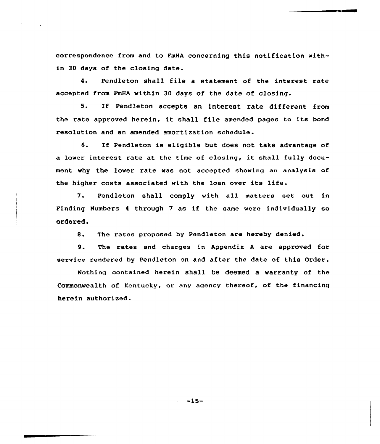correspondence from and to FmHA concerning this notification within 30 days of the closing date.

4. Pendleton shall file a statement of the interest rate accepted from FmHA within 30 days of the date of closing.

5. If Pendleton accepts an interest rate different from the rate approved herein, it shall file amended pages to its bond resolution and an amended amortization schedule.

6. If Pendleton is eligible but does not take advantage of <sup>a</sup> lower interest rate at the time of closing, it shall fully document why the lower rate was not accepted shoving an analysis of the higher costs associated with the loan over its life.

/. Pendleton shall comply with all matters set out in Finding Numbers <sup>4</sup> through <sup>7</sup> as if the same were individually so ordered.

8. The rates proposed by Pendleton are hereby denied.

9. The rates and charges in Appendix <sup>A</sup> are approved for service rendered by Pendleton on and after the date of this Order.

Nothing contained herein shall be deemed a warranty of the Commonwealth of Kentucky, or any agency thereof, of the financing herein authorized.

-15-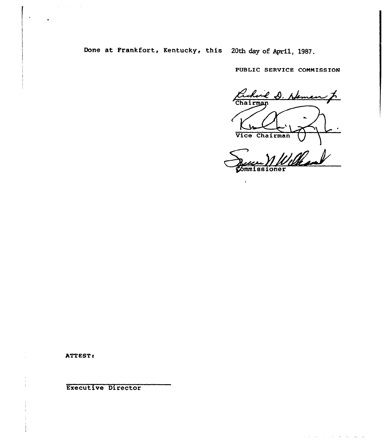Done at Frankfort, Kentucky, this 20th day of April, 1987.

PUBLIC SERVICE CONNISSION

e D. Neman f Chairman Vice Chairman

**ommissioner** 

 $\mathcal{L}^{\mathcal{A}}_{\mathcal{A}} = \{ \mathcal{L}^{\mathcal{A}}_{\mathcal{A}} \mid \mathcal{L}^{\mathcal{A}}_{\mathcal{A}} \mid \mathcal{L}^{\mathcal{A}}_{\mathcal{A}} \mid \mathcal{L}^{\mathcal{A}}_{\mathcal{A}} \mid \mathcal{L}^{\mathcal{A}}_{\mathcal{A}} \mid \mathcal{L}^{\mathcal{A}}_{\mathcal{A}} \mid \mathcal{L}^{\mathcal{A}}_{\mathcal{A}} \mid \mathcal{L}^{\mathcal{A}}_{\mathcal{A}} \mid \mathcal{L}^{\mathcal{A}}_{\mathcal{A}} \$ 

 $\ddot{\phantom{a}}$ 

**ATTEST:** 

 $\alpha_{\rm{eff}}$  and  $\alpha_{\rm{eff}}$  are  $\beta_{\rm{eff}}$  .

Executive Director